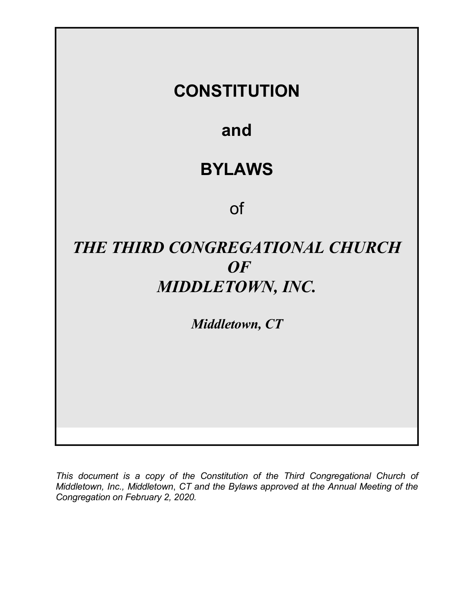

This document is a copy of the Constitution of the Third Congregational Church of Middletown, Inc., Middletown, CT and the Bylaws approved at the Annual Meeting of the Congregation on February 2, 2020.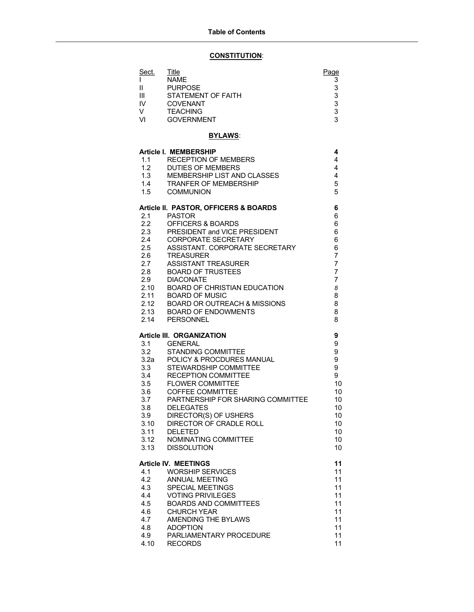## CONSTITUTION:

| Sect.                                      | Title                                                   | Page                             |
|--------------------------------------------|---------------------------------------------------------|----------------------------------|
| L<br>Ш                                     | <b>NAME</b><br><b>PURPOSE</b>                           | 3<br>3                           |
| Ш                                          | <b>STATEMENT OF FAITH</b>                               | 3                                |
| IV.                                        | <b>COVENANT</b>                                         | $\frac{3}{3}$                    |
| V                                          | <b>TEACHING</b>                                         |                                  |
| VI                                         | <b>GOVERNMENT</b>                                       | 3                                |
|                                            | <b>BYLAWS:</b>                                          |                                  |
| <b>Article I. MEMBERSHIP</b>               |                                                         | 4                                |
| 1.1                                        | <b>RECEPTION OF MEMBERS</b>                             | 4                                |
| 1.2<br>1.3                                 | <b>DUTIES OF MEMBERS</b><br>MEMBERSHIP LIST AND CLASSES | 4<br>4                           |
| 1.4                                        | <b>TRANFER OF MEMBERSHIP</b>                            | 5                                |
| 1.5                                        | <b>COMMUNION</b>                                        | 5                                |
| Article II. PASTOR, OFFICERS & BOARDS<br>6 |                                                         |                                  |
| 2.1                                        | <b>PASTOR</b>                                           | 6                                |
| 2.2                                        | OFFICERS & BOARDS<br>PRESIDENT and VICE PRESIDENT       | 6<br>6                           |
| 2.3<br>2.4                                 | <b>CORPORATE SECRETARY</b>                              | 6                                |
| 2.5                                        | ASSISTANT. CORPORATE SECRETARY                          | 6                                |
| 2.6                                        | <b>TREASURER</b>                                        | 7                                |
| 2.7                                        | <b>ASSISTANT TREASURER</b>                              | $\overline{7}$                   |
| 2.8<br>2.9                                 | <b>BOARD OF TRUSTEES</b><br><b>DIACONATE</b>            | $\overline{7}$<br>$\overline{7}$ |
| 2.10                                       | <b>BOARD OF CHRISTIAN EDUCATION</b>                     | 8                                |
| 2.11                                       | <b>BOARD OF MUSIC</b>                                   | 8                                |
| 2.12                                       | <b>BOARD OR OUTREACH &amp; MISSIONS</b>                 | 8                                |
| 2.13<br>2.14                               | <b>BOARD OF ENDOWMENTS</b><br><b>PERSONNEL</b>          | 8<br>8                           |
|                                            |                                                         |                                  |
|                                            | <b>Article III. ORGANIZATION</b>                        | 9                                |
| 3.1<br>3.2                                 | <b>GENERAL</b><br>STANDING COMMITTEE                    | 9<br>9                           |
| 3.2a                                       | POLICY & PROCDURES MANUAL                               | 9                                |
| 3.3                                        | STEWARDSHIP COMMITTEE                                   | 9                                |
| 3.4                                        | <b>RECEPTION COMMITTEE</b>                              | 9                                |
| 3.5<br>3.6                                 | <b>FLOWER COMMITTEE</b><br><b>COFFEE COMMITTEE</b>      | 10<br>10                         |
| 3.7                                        | PARTNERSHIP FOR SHARING COMMITTEE                       | 10                               |
| 3.8                                        | <b>DELEGATES</b>                                        | 10                               |
| 3.9                                        | DIRECTOR(S) OF USHERS                                   | 10 <sub>1</sub>                  |
| 3.10                                       | DIRECTOR OF CRADLE ROLL                                 | 10                               |
| 3.11<br>3.12                               | <b>DELETED</b><br>NOMINATING COMMITTEE                  | 10<br>10                         |
| 3.13                                       | <b>DISSOLUTION</b>                                      | 10                               |
|                                            | <b>Article IV. MEETINGS</b>                             |                                  |
| 4.1                                        | <b>WORSHIP SERVICES</b>                                 | 11<br>11                         |
| 4.2                                        | <b>ANNUAL MEETING</b>                                   | 11                               |
| 4.3                                        | <b>SPECIAL MEETINGS</b>                                 | 11                               |
| 4.4                                        | <b>VOTING PRIVILEGES</b>                                | 11                               |
| 4.5<br>4.6                                 | <b>BOARDS AND COMMITTEES</b><br><b>CHURCH YEAR</b>      | 11<br>11                         |
| 4.7                                        | AMENDING THE BYLAWS                                     | 11                               |
| 4.8                                        | <b>ADOPTION</b>                                         | 11                               |
| 4.9                                        | PARLIAMENTARY PROCEDURE                                 | 11                               |
| 4.10                                       | <b>RECORDS</b>                                          | 11                               |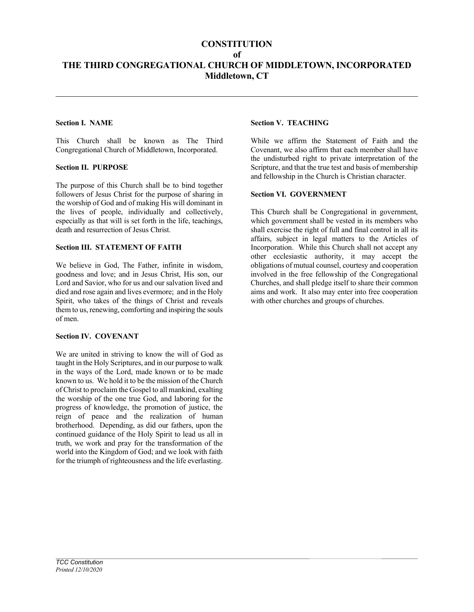## **CONSTITUTION**

of

# THE THIRD CONGREGATIONAL CHURCH OF MIDDLETOWN, INCORPORATED Middletown, CT

## Section I. NAME

This Church shall be known as The Third Congregational Church of Middletown, Incorporated.

#### Section II. PURPOSE

The purpose of this Church shall be to bind together followers of Jesus Christ for the purpose of sharing in the worship of God and of making His will dominant in the lives of people, individually and collectively, especially as that will is set forth in the life, teachings, death and resurrection of Jesus Christ.

#### Section III. STATEMENT OF FAITH

We believe in God, The Father, infinite in wisdom, goodness and love; and in Jesus Christ, His son, our Lord and Savior, who for us and our salvation lived and died and rose again and lives evermore; and in the Holy Spirit, who takes of the things of Christ and reveals them to us, renewing, comforting and inspiring the souls of men.

#### Section IV. COVENANT

We are united in striving to know the will of God as taught in the Holy Scriptures, and in our purpose to walk in the ways of the Lord, made known or to be made known to us. We hold it to be the mission of the Church of Christ to proclaim the Gospel to all mankind, exalting the worship of the one true God, and laboring for the progress of knowledge, the promotion of justice, the reign of peace and the realization of human brotherhood. Depending, as did our fathers, upon the continued guidance of the Holy Spirit to lead us all in truth, we work and pray for the transformation of the world into the Kingdom of God; and we look with faith for the triumph of righteousness and the life everlasting.

## Section V. TEACHING

While we affirm the Statement of Faith and the Covenant, we also affirm that each member shall have the undisturbed right to private interpretation of the Scripture, and that the true test and basis of membership and fellowship in the Church is Christian character.

#### Section VI. GOVERNMENT

This Church shall be Congregational in government, which government shall be vested in its members who shall exercise the right of full and final control in all its affairs, subject in legal matters to the Articles of Incorporation. While this Church shall not accept any other ecclesiastic authority, it may accept the obligations of mutual counsel, courtesy and cooperation involved in the free fellowship of the Congregational Churches, and shall pledge itself to share their common aims and work. It also may enter into free cooperation with other churches and groups of churches.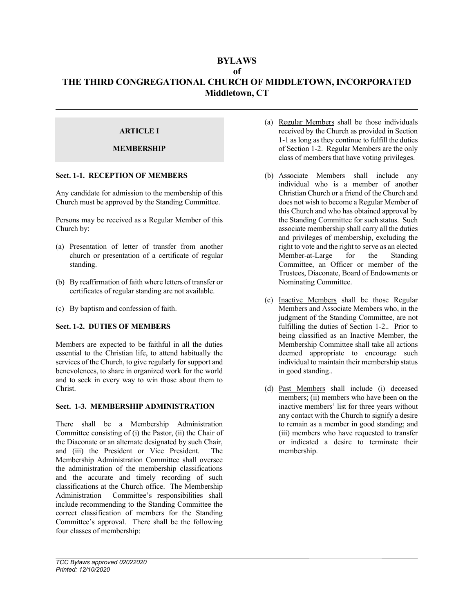## BYLAWS of THE THIRD CONGREGATIONAL CHURCH OF MIDDLETOWN, INCORPORATED Middletown, CT

## ARTICLE I

## MEMBERSHIP

### Sect. 1-1. RECEPTION OF MEMBERS

Any candidate for admission to the membership of this Church must be approved by the Standing Committee.

Persons may be received as a Regular Member of this Church by:

- (a) Presentation of letter of transfer from another church or presentation of a certificate of regular standing.
- (b) By reaffirmation of faith where letters of transfer or certificates of regular standing are not available.
- (c) By baptism and confession of faith.

### Sect. 1-2. DUTIES OF MEMBERS

Members are expected to be faithful in all the duties essential to the Christian life, to attend habitually the services of the Church, to give regularly for support and benevolences, to share in organized work for the world and to seek in every way to win those about them to Christ.

### Sect. 1-3. MEMBERSHIP ADMINISTRATION

There shall be a Membership Administration Committee consisting of (i) the Pastor, (ii) the Chair of the Diaconate or an alternate designated by such Chair, and (iii) the President or Vice President. The Membership Administration Committee shall oversee the administration of the membership classifications and the accurate and timely recording of such classifications at the Church office. The Membership Administration Committee's responsibilities shall include recommending to the Standing Committee the correct classification of members for the Standing Committee's approval. There shall be the following four classes of membership:

- (a) Regular Members shall be those individuals received by the Church as provided in Section 1-1 as long as they continue to fulfill the duties of Section 1-2. Regular Members are the only class of members that have voting privileges.
- (b) Associate Members shall include any individual who is a member of another Christian Church or a friend of the Church and does not wish to become a Regular Member of this Church and who has obtained approval by the Standing Committee for such status. Such associate membership shall carry all the duties and privileges of membership, excluding the right to vote and the right to serve as an elected Member-at-Large for the Standing Committee, an Officer or member of the Trustees, Diaconate, Board of Endowments or Nominating Committee.
- (c) Inactive Members shall be those Regular Members and Associate Members who, in the judgment of the Standing Committee, are not fulfilling the duties of Section 1-2.. Prior to being classified as an Inactive Member, the Membership Committee shall take all actions deemed appropriate to encourage such individual to maintain their membership status in good standing..
- (d) Past Members shall include (i) deceased members; (ii) members who have been on the inactive members' list for three years without any contact with the Church to signify a desire to remain as a member in good standing; and (iii) members who have requested to transfer or indicated a desire to terminate their membership.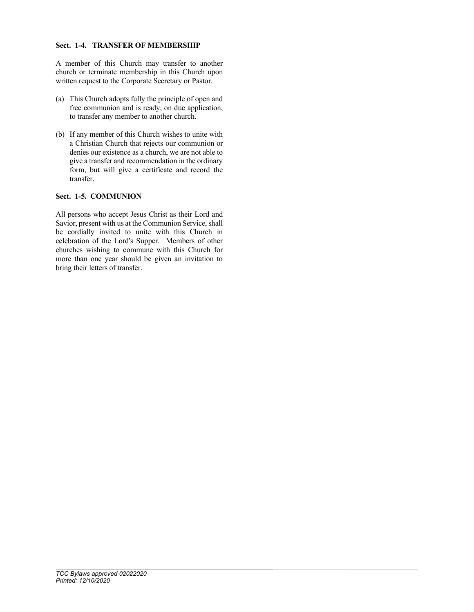#### Sect. 1-4. TRANSFER OF MEMBERSHIP

A member of this Church may transfer to another church or terminate membership in this Church upon written request to the Corporate Secretary or Pastor.

- (a) This Church adopts fully the principle of open and free communion and is ready, on due application, to transfer any member to another church.
- (b) If any member of this Church wishes to unite with a Christian Church that rejects our communion or denies our existence as a church, we are not able to give a transfer and recommendation in the ordinary form, but will give a certificate and record the transfer.

## Sect. 1-5. COMMUNION

All persons who accept Jesus Christ as their Lord and Savior, present with us at the Communion Service, shall be cordially invited to unite with this Church in celebration of the Lord's Supper. Members of other churches wishing to commune with this Church for more than one year should be given an invitation to bring their letters of transfer.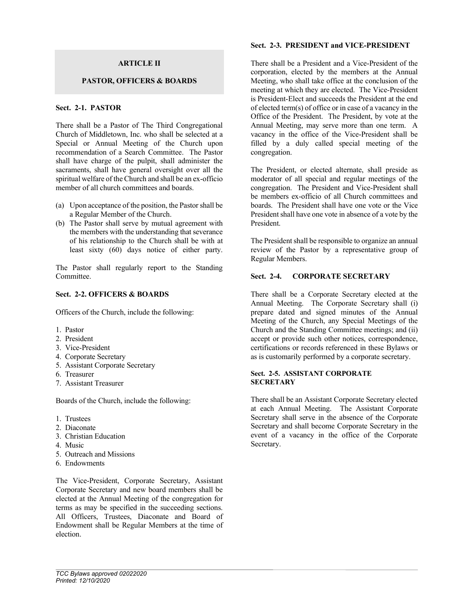## ARTICLE II

### PASTOR, OFFICERS & BOARDS

## Sect. 2-1. PASTOR

There shall be a Pastor of The Third Congregational Church of Middletown, Inc. who shall be selected at a Special or Annual Meeting of the Church upon recommendation of a Search Committee. The Pastor shall have charge of the pulpit, shall administer the sacraments, shall have general oversight over all the spiritual welfare of the Church and shall be an ex-officio member of all church committees and boards.

- (a) Upon acceptance of the position, the Pastor shall be a Regular Member of the Church.
- (b) The Pastor shall serve by mutual agreement with the members with the understanding that severance of his relationship to the Church shall be with at least sixty (60) days notice of either party.

The Pastor shall regularly report to the Standing **Committee** 

#### Sect. 2-2. OFFICERS & BOARDS

Officers of the Church, include the following:

- 1. Pastor
- 2. President
- 3. Vice-President
- 4. Corporate Secretary
- 5. Assistant Corporate Secretary
- 6. Treasurer
- 7. Assistant Treasurer

Boards of the Church, include the following:

- 1. Trustees
- 2. Diaconate
- 3. Christian Education
- 4. Music
- 5. Outreach and Missions
- 6. Endowments

The Vice-President, Corporate Secretary, Assistant Corporate Secretary and new board members shall be elected at the Annual Meeting of the congregation for terms as may be specified in the succeeding sections. All Officers, Trustees, Diaconate and Board of Endowment shall be Regular Members at the time of election.

#### Sect. 2-3. PRESIDENT and VICE-PRESIDENT

There shall be a President and a Vice-President of the corporation, elected by the members at the Annual Meeting, who shall take office at the conclusion of the meeting at which they are elected. The Vice-President is President-Elect and succeeds the President at the end of elected term(s) of office or in case of a vacancy in the Office of the President. The President, by vote at the Annual Meeting, may serve more than one term. A vacancy in the office of the Vice-President shall be filled by a duly called special meeting of the congregation.

The President, or elected alternate, shall preside as moderator of all special and regular meetings of the congregation. The President and Vice-President shall be members ex-officio of all Church committees and boards. The President shall have one vote or the Vice President shall have one vote in absence of a vote by the President.

The President shall be responsible to organize an annual review of the Pastor by a representative group of Regular Members.

## Sect. 2-4. CORPORATE SECRETARY

There shall be a Corporate Secretary elected at the Annual Meeting. The Corporate Secretary shall (i) prepare dated and signed minutes of the Annual Meeting of the Church, any Special Meetings of the Church and the Standing Committee meetings; and (ii) accept or provide such other notices, correspondence, certifications or records referenced in these Bylaws or as is customarily performed by a corporate secretary.

#### Sect. 2-5. ASSISTANT CORPORATE **SECRETARY**

There shall be an Assistant Corporate Secretary elected at each Annual Meeting. The Assistant Corporate Secretary shall serve in the absence of the Corporate Secretary and shall become Corporate Secretary in the event of a vacancy in the office of the Corporate Secretary.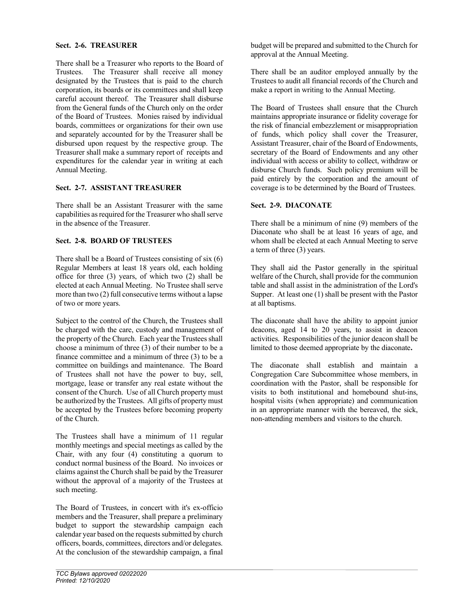### Sect. 2-6. TREASURER

There shall be a Treasurer who reports to the Board of Trustees. The Treasurer shall receive all money designated by the Trustees that is paid to the church corporation, its boards or its committees and shall keep careful account thereof. The Treasurer shall disburse from the General funds of the Church only on the order of the Board of Trustees. Monies raised by individual boards, committees or organizations for their own use and separately accounted for by the Treasurer shall be disbursed upon request by the respective group. The Treasurer shall make a summary report of receipts and expenditures for the calendar year in writing at each Annual Meeting.

## Sect. 2-7. ASSISTANT TREASURER

There shall be an Assistant Treasurer with the same capabilities as required for the Treasurer who shall serve in the absence of the Treasurer.

## Sect. 2-8. BOARD OF TRUSTEES

There shall be a Board of Trustees consisting of six (6) Regular Members at least 18 years old, each holding office for three (3) years, of which two (2) shall be elected at each Annual Meeting. No Trustee shall serve more than two (2) full consecutive terms without a lapse of two or more years.

Subject to the control of the Church, the Trustees shall be charged with the care, custody and management of the property of the Church. Each year the Trustees shall choose a minimum of three (3) of their number to be a finance committee and a minimum of three (3) to be a committee on buildings and maintenance. The Board of Trustees shall not have the power to buy, sell, mortgage, lease or transfer any real estate without the consent of the Church. Use of all Church property must be authorized by the Trustees. All gifts of property must be accepted by the Trustees before becoming property of the Church.

The Trustees shall have a minimum of 11 regular monthly meetings and special meetings as called by the Chair, with any four (4) constituting a quorum to conduct normal business of the Board. No invoices or claims against the Church shall be paid by the Treasurer without the approval of a majority of the Trustees at such meeting.

The Board of Trustees, in concert with it's ex-officio members and the Treasurer, shall prepare a preliminary budget to support the stewardship campaign each calendar year based on the requests submitted by church officers, boards, committees, directors and/or delegates. At the conclusion of the stewardship campaign, a final budget will be prepared and submitted to the Church for approval at the Annual Meeting.

There shall be an auditor employed annually by the Trustees to audit all financial records of the Church and make a report in writing to the Annual Meeting.

The Board of Trustees shall ensure that the Church maintains appropriate insurance or fidelity coverage for the risk of financial embezzlement or misappropriation of funds, which policy shall cover the Treasurer, Assistant Treasurer, chair of the Board of Endowments, secretary of the Board of Endowments and any other individual with access or ability to collect, withdraw or disburse Church funds. Such policy premium will be paid entirely by the corporation and the amount of coverage is to be determined by the Board of Trustees.

## Sect. 2-9. DIACONATE

There shall be a minimum of nine (9) members of the Diaconate who shall be at least 16 years of age, and whom shall be elected at each Annual Meeting to serve a term of three (3) years.

They shall aid the Pastor generally in the spiritual welfare of the Church, shall provide for the communion table and shall assist in the administration of the Lord's Supper. At least one (1) shall be present with the Pastor at all baptisms.

The diaconate shall have the ability to appoint junior deacons, aged 14 to 20 years, to assist in deacon activities. Responsibilities of the junior deacon shall be limited to those deemed appropriate by the diaconate.

The diaconate shall establish and maintain a Congregation Care Subcommittee whose members, in coordination with the Pastor, shall be responsible for visits to both institutional and homebound shut-ins, hospital visits (when appropriate) and communication in an appropriate manner with the bereaved, the sick, non-attending members and visitors to the church.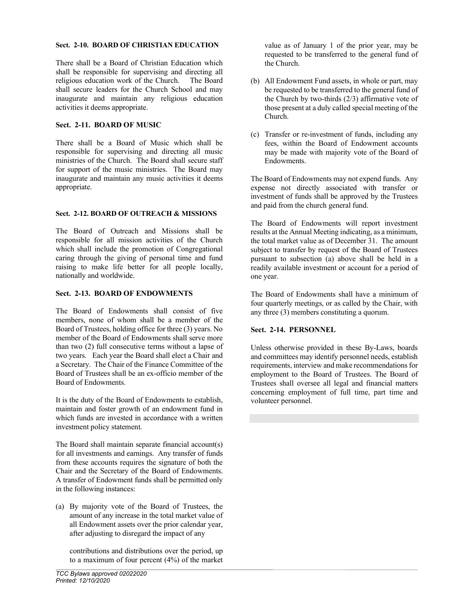### Sect. 2-10. BOARD OF CHRISTIAN EDUCATION

There shall be a Board of Christian Education which shall be responsible for supervising and directing all religious education work of the Church. The Board shall secure leaders for the Church School and may inaugurate and maintain any religious education activities it deems appropriate.

## Sect. 2-11. BOARD OF MUSIC

There shall be a Board of Music which shall be responsible for supervising and directing all music ministries of the Church. The Board shall secure staff for support of the music ministries. The Board may inaugurate and maintain any music activities it deems appropriate.

## Sect. 2-12. BOARD OF OUTREACH & MISSIONS

The Board of Outreach and Missions shall be responsible for all mission activities of the Church which shall include the promotion of Congregational caring through the giving of personal time and fund raising to make life better for all people locally, nationally and worldwide.

## Sect. 2-13. BOARD OF ENDOWMENTS

The Board of Endowments shall consist of five members, none of whom shall be a member of the Board of Trustees, holding office for three (3) years. No member of the Board of Endowments shall serve more than two (2) full consecutive terms without a lapse of two years. Each year the Board shall elect a Chair and a Secretary. The Chair of the Finance Committee of the Board of Trustees shall be an ex-officio member of the Board of Endowments.

It is the duty of the Board of Endowments to establish, maintain and foster growth of an endowment fund in which funds are invested in accordance with a written investment policy statement.

The Board shall maintain separate financial account(s) for all investments and earnings. Any transfer of funds from these accounts requires the signature of both the Chair and the Secretary of the Board of Endowments. A transfer of Endowment funds shall be permitted only in the following instances:

(a) By majority vote of the Board of Trustees, the amount of any increase in the total market value of all Endowment assets over the prior calendar year, after adjusting to disregard the impact of any

 contributions and distributions over the period, up to a maximum of four percent (4%) of the market value as of January 1 of the prior year, may be requested to be transferred to the general fund of the Church.

- (b) All Endowment Fund assets, in whole or part, may be requested to be transferred to the general fund of the Church by two-thirds (2/3) affirmative vote of those present at a duly called special meeting of the Church.
- (c) Transfer or re-investment of funds, including any fees, within the Board of Endowment accounts may be made with majority vote of the Board of Endowments.

The Board of Endowments may not expend funds. Any expense not directly associated with transfer or investment of funds shall be approved by the Trustees and paid from the church general fund.

The Board of Endowments will report investment results at the Annual Meeting indicating, as a minimum, the total market value as of December 31. The amount subject to transfer by request of the Board of Trustees pursuant to subsection (a) above shall be held in a readily available investment or account for a period of one year.

The Board of Endowments shall have a minimum of four quarterly meetings, or as called by the Chair, with any three (3) members constituting a quorum.

### Sect. 2-14. PERSONNEL

Unless otherwise provided in these By-Laws, boards and committees may identify personnel needs, establish requirements, interview and make recommendations for employment to the Board of Trustees. The Board of Trustees shall oversee all legal and financial matters concerning employment of full time, part time and volunteer personnel.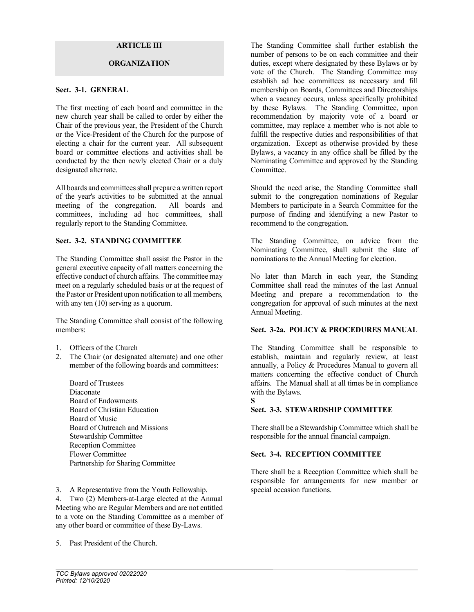### ARTICLE III

#### **ORGANIZATION**

#### Sect. 3-1. GENERAL

The first meeting of each board and committee in the new church year shall be called to order by either the Chair of the previous year, the President of the Church or the Vice-President of the Church for the purpose of electing a chair for the current year. All subsequent board or committee elections and activities shall be conducted by the then newly elected Chair or a duly designated alternate.

All boards and committees shall prepare a written report of the year's activities to be submitted at the annual meeting of the congregation. All boards and committees, including ad hoc committees, shall regularly report to the Standing Committee.

#### Sect. 3-2. STANDING COMMITTEE

The Standing Committee shall assist the Pastor in the general executive capacity of all matters concerning the effective conduct of church affairs. The committee may meet on a regularly scheduled basis or at the request of the Pastor or President upon notification to all members, with any ten  $(10)$  serving as a quorum.

The Standing Committee shall consist of the following members:

- 1. Officers of the Church
- 2. The Chair (or designated alternate) and one other member of the following boards and committees:

 Board of Trustees Diaconate Board of Endowments Board of Christian Education Board of Music Board of Outreach and Missions Stewardship Committee Reception Committee Flower Committee Partnership for Sharing Committee

3. A Representative from the Youth Fellowship.

4. Two (2) Members-at-Large elected at the Annual Meeting who are Regular Members and are not entitled to a vote on the Standing Committee as a member of any other board or committee of these By-Laws.

5. Past President of the Church.

The Standing Committee shall further establish the number of persons to be on each committee and their duties, except where designated by these Bylaws or by vote of the Church. The Standing Committee may establish ad hoc committees as necessary and fill membership on Boards, Committees and Directorships when a vacancy occurs, unless specifically prohibited by these Bylaws. The Standing Committee, upon recommendation by majority vote of a board or committee, may replace a member who is not able to fulfill the respective duties and responsibilities of that organization. Except as otherwise provided by these Bylaws, a vacancy in any office shall be filled by the Nominating Committee and approved by the Standing Committee.

Should the need arise, the Standing Committee shall submit to the congregation nominations of Regular Members to participate in a Search Committee for the purpose of finding and identifying a new Pastor to recommend to the congregation.

The Standing Committee, on advice from the Nominating Committee, shall submit the slate of nominations to the Annual Meeting for election.

No later than March in each year, the Standing Committee shall read the minutes of the last Annual Meeting and prepare a recommendation to the congregation for approval of such minutes at the next Annual Meeting.

### Sect. 3-2a. POLICY & PROCEDURES MANUAL

The Standing Committee shall be responsible to establish, maintain and regularly review, at least annually, a Policy & Procedures Manual to govern all matters concerning the effective conduct of Church affairs. The Manual shall at all times be in compliance with the Bylaws. S

## Sect. 3-3. STEWARDSHIP COMMITTEE

There shall be a Stewardship Committee which shall be responsible for the annual financial campaign.

#### Sect. 3-4. RECEPTION COMMITTEE

There shall be a Reception Committee which shall be responsible for arrangements for new member or special occasion functions.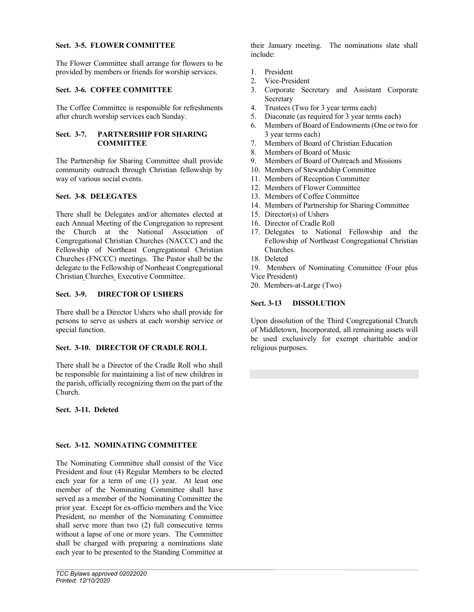### Sect. 3-5. FLOWER COMMITTEE

The Flower Committee shall arrange for flowers to be provided by members or friends for worship services.

## Sect. 3-6. COFFEE COMMITTEE

The Coffee Committee is responsible for refreshments after church worship services each Sunday.

## Sect. 3-7. PARTNERSHIP FOR SHARING **COMMITTEE**

The Partnership for Sharing Committee shall provide community outreach through Christian fellowship by way of various social events.

## Sect. 3-8. DELEGATES

There shall be Delegates and/or alternates elected at each Annual Meeting of the Congregation to represent the Church at the National Association of Congregational Christian Churches (NACCC) and the Fellowship of Northeast Congregational Christian Churches (FNCCC) meetings. The Pastor shall be the delegate to the Fellowship of Northeast Congregational Christian Churches Executive Committee.

## Sect. 3-9. DIRECTOR OF USHERS

There shall be a Director Ushers who shall provide for persons to serve as ushers at each worship service or special function.

## Sect. 3-10. DIRECTOR OF CRADLE ROLL

There shall be a Director of the Cradle Roll who shall be responsible for maintaining a list of new children in the parish, officially recognizing them on the part of the Church.

Sect. 3-11. Deleted

## Sect. 3-12. NOMINATING COMMITTEE

The Nominating Committee shall consist of the Vice President and four (4) Regular Members to be elected each year for a term of one (1) year. At least one member of the Nominating Committee shall have served as a member of the Nominating Committee the prior year. Except for ex-officio members and the Vice President, no member of the Nominating Committee shall serve more than two (2) full consecutive terms without a lapse of one or more years. The Committee shall be charged with preparing a nominations slate each year to be presented to the Standing Committee at their January meeting. The nominations slate shall include:

- 1. President
- 2. Vice-President
- 3. Corporate Secretary and Assistant Corporate Secretary
- 4. Trustees (Two for 3 year terms each)
- 5. Diaconate (as required for 3 year terms each)
- 6. Members of Board of Endowments (One or two for 3 year terms each)
- 7. Members of Board of Christian Education
- 8. Members of Board of Music
- 9. Members of Board of Outreach and Missions
- 10. Members of Stewardship Committee
- 11. Members of Reception Committee
- 12. Members of Flower Committee
- 13. Members of Coffee Committee
- 14. Members of Partnership for Sharing Committee
- 15. Director(s) of Ushers
- 16. Director of Cradle Roll
- 17. Delegates to National Fellowship and the Fellowship of Northeast Congregational Christian Churches.
- 18. Deleted
- 19. Members of Nominating Committee (Four plus Vice President)

20. Members-at-Large (Two)

## Sect. 3-13 DISSOLUTION

Upon dissolution of the Third Congregational Church of Middletown, Incorporated, all remaining assets will be used exclusively for exempt charitable and/or religious purposes.